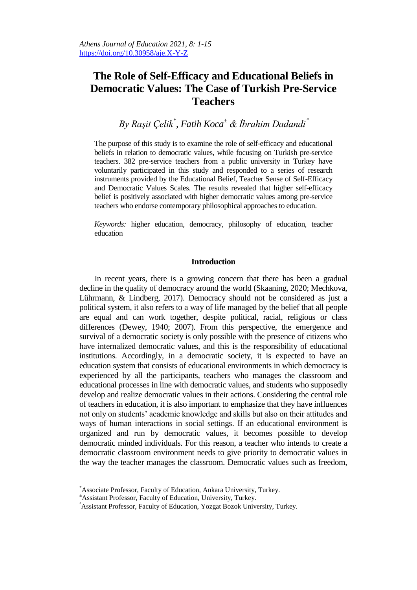# **The Role of Self-Efficacy and Educational Beliefs in Democratic Values: The Case of Turkish Pre-Service Teachers**

*By Raşit Çelik\* , Fatih Koca<sup>±</sup> & İbrahim Dadandi*

The purpose of this study is to examine the role of self-efficacy and educational beliefs in relation to democratic values, while focusing on Turkish pre-service teachers. 382 pre-service teachers from a public university in Turkey have voluntarily participated in this study and responded to a series of research instruments provided by the Educational Belief, Teacher Sense of Self-Efficacy and Democratic Values Scales. The results revealed that higher self-efficacy belief is positively associated with higher democratic values among pre-service teachers who endorse contemporary philosophical approaches to education.

*Keywords:* higher education, democracy, philosophy of education, teacher education

## **Introduction**

In recent years, there is a growing concern that there has been a gradual decline in the quality of democracy around the world (Skaaning, 2020; Mechkova, Lührmann, & Lindberg, 2017). Democracy should not be considered as just a political system, it also refers to a way of life managed by the belief that all people are equal and can work together, despite political, racial, religious or class differences (Dewey, 1940; 2007). From this perspective, the emergence and survival of a democratic society is only possible with the presence of citizens who have internalized democratic values, and this is the responsibility of educational institutions. Accordingly, in a democratic society, it is expected to have an education system that consists of educational environments in which democracy is experienced by all the participants, teachers who manages the classroom and educational processes in line with democratic values, and students who supposedly develop and realize democratic values in their actions. Considering the central role of teachers in education, it is also important to emphasize that they have influences not only on students' academic knowledge and skills but also on their attitudes and ways of human interactions in social settings. If an educational environment is organized and run by democratic values, it becomes possible to develop democratic minded individuals. For this reason, a teacher who intends to create a democratic classroom environment needs to give priority to democratic values in the way the teacher manages the classroom. Democratic values such as freedom,

 $\overline{a}$ 

<sup>\*</sup>Associate Professor, Faculty of Education, Ankara University, Turkey.

<sup>±</sup>Assistant Professor, Faculty of Education, University, Turkey.

Assistant Professor, Faculty of Education, Yozgat Bozok University, Turkey.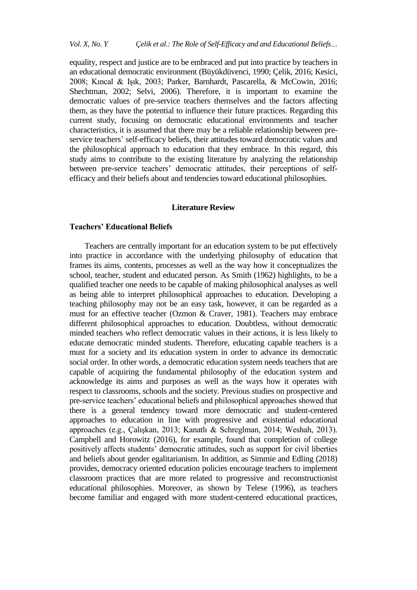equality, respect and justice are to be embraced and put into practice by teachers in an educational democratic environment (Büyükdüvenci, 1990; Çelik, 2016; Kesici, 2008; Kıncal & Işık, 2003; Parker, Barnhardt, Pascarella, & McCowin, 2016; Shechtman, 2002; Selvi, 2006). Therefore, it is important to examine the democratic values of pre-service teachers themselves and the factors affecting them, as they have the potential to influence their future practices. Regarding this current study, focusing on democratic educational environments and teacher characteristics, it is assumed that there may be a reliable relationship between preservice teachers' self-efficacy beliefs, their attitudes toward democratic values and the philosophical approach to education that they embrace. In this regard, this study aims to contribute to the existing literature by analyzing the relationship between pre-service teachers' democratic attitudes, their perceptions of selfefficacy and their beliefs about and tendencies toward educational philosophies.

## **Literature Review**

# **Teachers' Educational Beliefs**

Teachers are centrally important for an education system to be put effectively into practice in accordance with the underlying philosophy of education that frames its aims, contents, processes as well as the way how it conceptualizes the school, teacher, student and educated person. As Smith (1962) highlights, to be a qualified teacher one needs to be capable of making philosophical analyses as well as being able to interpret philosophical approaches to education. Developing a teaching philosophy may not be an easy task, however, it can be regarded as a must for an effective teacher (Ozmon & Craver, 1981). Teachers may embrace different philosophical approaches to education. Doubtless, without democratic minded teachers who reflect democratic values in their actions, it is less likely to educate democratic minded students. Therefore, educating capable teachers is a must for a society and its education system in order to advance its democratic social order. In other words, a democratic education system needs teachers that are capable of acquiring the fundamental philosophy of the education system and acknowledge its aims and purposes as well as the ways how it operates with respect to classrooms, schools and the society. Previous studies on prospective and pre-service teachers' educational beliefs and philosophical approaches showed that there is a general tendency toward more democratic and student-centered approaches to education in line with progressive and existential educational approaches (e.g., Çalışkan, 2013; Kanatlı & Schreglman, 2014; Weshah, 2013). Campbell and Horowitz (2016), for example, found that completion of college positively affects students' democratic attitudes, such as support for civil liberties and beliefs about gender egalitarianism. In addition, as Simmie and Edling (2018) provides, democracy oriented education policies encourage teachers to implement classroom practices that are more related to progressive and reconstructionist educational philosophies. Moreover, as shown by Telese (1996), as teachers become familiar and engaged with more student-centered educational practices,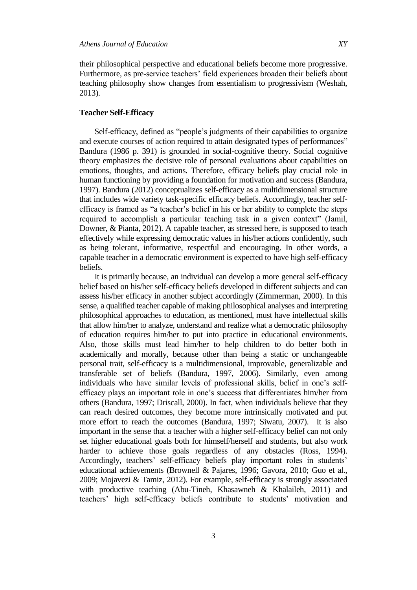their philosophical perspective and educational beliefs become more progressive. Furthermore, as pre-service teachers' field experiences broaden their beliefs about teaching philosophy show changes from essentialism to progressivism (Weshah, 2013).

## **Teacher Self-Efficacy**

Self-efficacy, defined as "people's judgments of their capabilities to organize and execute courses of action required to attain designated types of performances" Bandura (1986 p. 391) is grounded in social-cognitive theory. Social cognitive theory emphasizes the decisive role of personal evaluations about capabilities on emotions, thoughts, and actions. Therefore, efficacy beliefs play crucial role in human functioning by providing a foundation for motivation and success (Bandura, 1997). Bandura (2012) conceptualizes self-efficacy as a multidimensional structure that includes wide variety task-specific efficacy beliefs. Accordingly, teacher selfefficacy is framed as "a teacher's belief in his or her ability to complete the steps required to accomplish a particular teaching task in a given context" (Jamil, Downer, & Pianta, 2012). A capable teacher, as stressed here, is supposed to teach effectively while expressing democratic values in his/her actions confidently, such as being tolerant, informative, respectful and encouraging. In other words, a capable teacher in a democratic environment is expected to have high self-efficacy beliefs.

It is primarily because, an individual can develop a more general self-efficacy belief based on his/her self-efficacy beliefs developed in different subjects and can assess his/her efficacy in another subject accordingly (Zimmerman, 2000). In this sense, a qualified teacher capable of making philosophical analyses and interpreting philosophical approaches to education, as mentioned, must have intellectual skills that allow him/her to analyze, understand and realize what a democratic philosophy of education requires him/her to put into practice in educational environments. Also, those skills must lead him/her to help children to do better both in academically and morally, because other than being a static or unchangeable personal trait, self-efficacy is a multidimensional, improvable, generalizable and transferable set of beliefs (Bandura, 1997, 2006). Similarly, even among individuals who have similar levels of professional skills, belief in one's selfefficacy plays an important role in one's success that differentiates him/her from others (Bandura, 1997; Driscall, 2000). In fact, when individuals believe that they can reach desired outcomes, they become more intrinsically motivated and put more effort to reach the outcomes (Bandura, 1997; Siwatu, 2007). It is also important in the sense that a teacher with a higher self-efficacy belief can not only set higher educational goals both for himself/herself and students, but also work harder to achieve those goals regardless of any obstacles (Ross, 1994). Accordingly, teachers' self-efficacy beliefs play important roles in students' educational achievements (Brownell & Pajares, 1996; Gavora, 2010; Guo et al., 2009; Mojavezi & Tamiz, 2012). For example, self-efficacy is strongly associated with productive teaching (Abu-Tineh, Khasawneh & Khalaileh, 2011) and teachers' high self-efficacy beliefs contribute to students' motivation and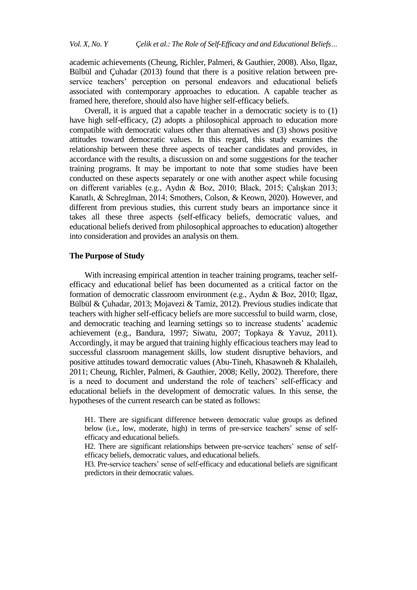academic achievements (Cheung, Richler, Palmeri, & Gauthier, 2008). Also, Ilgaz, Bülbül and Çuhadar (2013) found that there is a positive relation between preservice teachers' perception on personal endeavors and educational beliefs associated with contemporary approaches to education. A capable teacher as framed here, therefore, should also have higher self-efficacy beliefs.

Overall, it is argued that a capable teacher in a democratic society is to (1) have high self-efficacy, (2) adopts a philosophical approach to education more compatible with democratic values other than alternatives and (3) shows positive attitudes toward democratic values. In this regard, this study examines the relationship between these three aspects of teacher candidates and provides, in accordance with the results, a discussion on and some suggestions for the teacher training programs. It may be important to note that some studies have been conducted on these aspects separately or one with another aspect while focusing on different variables (e.g., Aydın & Boz, 2010; Black, 2015; Çalışkan 2013; Kanatlı, & Schreglman, 2014; Smothers, Colson, & Keown, 2020). However, and different from previous studies, this current study bears an importance since it takes all these three aspects (self-efficacy beliefs, democratic values, and educational beliefs derived from philosophical approaches to education) altogether into consideration and provides an analysis on them.

#### **The Purpose of Study**

With increasing empirical attention in teacher training programs, teacher selfefficacy and educational belief has been documented as a critical factor on the formation of democratic classroom environment (e.g., Aydın & Boz, 2010; Ilgaz, Bülbül & Çuhadar, 2013; Mojavezi & Tamiz, 2012). Previous studies indicate that teachers with higher self-efficacy beliefs are more successful to build warm, close, and democratic teaching and learning settings so to increase students' academic achievement (e.g., Bandura, 1997; Siwatu, 2007; Topkaya & Yavuz, 2011). Accordingly, it may be argued that training highly efficacious teachers may lead to successful classroom management skills, low student disruptive behaviors, and positive attitudes toward democratic values (Abu-Tineh, Khasawneh & Khalaileh, 2011; Cheung, Richler, Palmeri, & Gauthier, 2008; Kelly, 2002). Therefore, there is a need to document and understand the role of teachers' self-efficacy and educational beliefs in the development of democratic values. In this sense, the hypotheses of the current research can be stated as follows:

H1. There are significant difference between democratic value groups as defined below (i.e., low, moderate, high) in terms of pre-service teachers' sense of selfefficacy and educational beliefs.

H2. There are significant relationships between pre-service teachers' sense of selfefficacy beliefs, democratic values, and educational beliefs.

H3. Pre-service teachers' sense of self-efficacy and educational beliefs are significant predictors in their democratic values.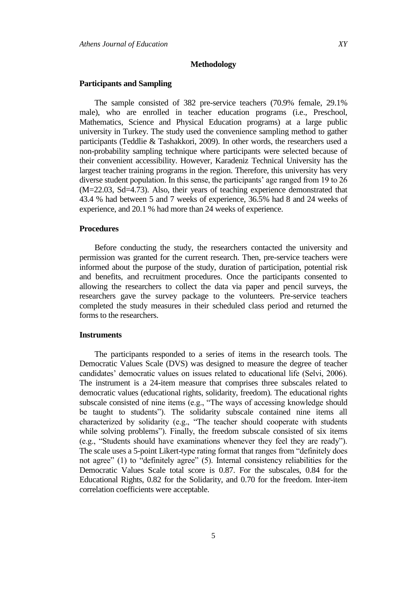#### **Methodology**

#### **Participants and Sampling**

The sample consisted of 382 pre-service teachers (70.9% female, 29.1% male), who are enrolled in teacher education programs (i.e., Preschool, Mathematics, Science and Physical Education programs) at a large public university in Turkey. The study used the convenience sampling method to gather participants (Teddlie & Tashakkori, 2009). In other words, the researchers used a non-probability sampling technique where participants were selected because of their convenient accessibility. However, Karadeniz Technical University has the largest teacher training programs in the region. Therefore, this university has very diverse student population. In this sense, the participants' age ranged from 19 to 26 (M=22.03, Sd=4.73). Also, their years of teaching experience demonstrated that 43.4 % had between 5 and 7 weeks of experience, 36.5% had 8 and 24 weeks of experience, and 20.1 % had more than 24 weeks of experience.

#### **Procedures**

Before conducting the study, the researchers contacted the university and permission was granted for the current research. Then, pre-service teachers were informed about the purpose of the study, duration of participation, potential risk and benefits, and recruitment procedures. Once the participants consented to allowing the researchers to collect the data via paper and pencil surveys, the researchers gave the survey package to the volunteers. Pre-service teachers completed the study measures in their scheduled class period and returned the forms to the researchers.

## **Instruments**

The participants responded to a series of items in the research tools. The Democratic Values Scale (DVS) was designed to measure the degree of teacher candidates' democratic values on issues related to educational life (Selvi, 2006). The instrument is a 24-item measure that comprises three subscales related to democratic values (educational rights, solidarity, freedom). The educational rights subscale consisted of nine items (e.g., "The ways of accessing knowledge should be taught to students"). The solidarity subscale contained nine items all characterized by solidarity (e.g., "The teacher should cooperate with students while solving problems"). Finally, the freedom subscale consisted of six items (e.g., "Students should have examinations whenever they feel they are ready"). The scale uses a 5-point Likert-type rating format that ranges from "definitely does not agree" (1) to "definitely agree" (5). Internal consistency reliabilities for the Democratic Values Scale total score is 0.87. For the subscales, 0.84 for the Educational Rights, 0.82 for the Solidarity, and 0.70 for the freedom. Inter-item correlation coefficients were acceptable.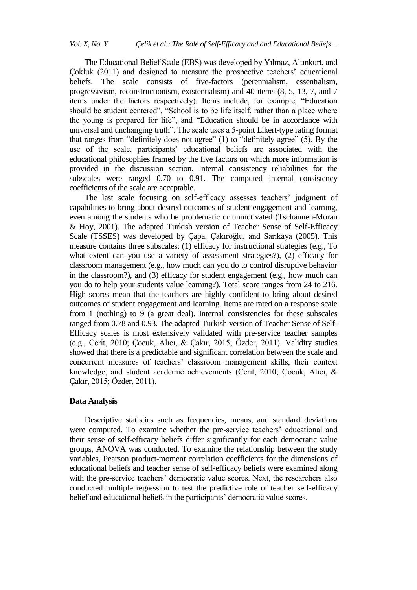The Educational Belief Scale (EBS) was developed by Yılmaz, Altınkurt, and Çokluk (2011) and designed to measure the prospective teachers' educational beliefs. The scale consists of five-factors (perennialism, essentialism, progressivism, reconstructionism, existentialism) and 40 items (8, 5, 13, 7, and 7 items under the factors respectively). Items include, for example, "Education should be student centered", "School is to be life itself, rather than a place where the young is prepared for life", and "Education should be in accordance with universal and unchanging truth". The scale uses a 5-point Likert-type rating format that ranges from "definitely does not agree" (1) to "definitely agree" (5). By the use of the scale, participants' educational beliefs are associated with the educational philosophies framed by the five factors on which more information is provided in the discussion section. Internal consistency reliabilities for the subscales were ranged 0.70 to 0.91. The computed internal consistency coefficients of the scale are acceptable.

The last scale focusing on self-efficacy assesses teachers' judgment of capabilities to bring about desired outcomes of student engagement and learning, even among the students who be problematic or unmotivated (Tschannen-Moran & Hoy, 2001). The adapted Turkish version of Teacher Sense of Self-Efficacy Scale (TSSES) was developed by Çapa, Çakıroğlu, and Sarıkaya (2005). This measure contains three subscales: (1) efficacy for instructional strategies (e.g., To what extent can you use a variety of assessment strategies?), (2) efficacy for classroom management (e.g., how much can you do to control disruptive behavior in the classroom?), and (3) efficacy for student engagement (e.g., how much can you do to help your students value learning?). Total score ranges from 24 to 216. High scores mean that the teachers are highly confident to bring about desired outcomes of student engagement and learning. Items are rated on a response scale from 1 (nothing) to 9 (a great deal). Internal consistencies for these subscales ranged from 0.78 and 0.93. The adapted Turkish version of Teacher Sense of Self-Efficacy scales is most extensively validated with pre-service teacher samples (e.g., Cerit, 2010; Çocuk, Alıcı, & Çakır, 2015; Özder, 2011). Validity studies showed that there is a predictable and significant correlation between the scale and concurrent measures of teachers' classroom management skills, their context knowledge, and student academic achievements (Cerit, 2010; Çocuk, Alıcı, & Çakır, 2015; Özder, 2011).

#### **Data Analysis**

Descriptive statistics such as frequencies, means, and standard deviations were computed. To examine whether the pre-service teachers' educational and their sense of self-efficacy beliefs differ significantly for each democratic value groups, ANOVA was conducted. To examine the relationship between the study variables, Pearson product-moment correlation coefficients for the dimensions of educational beliefs and teacher sense of self-efficacy beliefs were examined along with the pre-service teachers' democratic value scores. Next, the researchers also conducted multiple regression to test the predictive role of teacher self-efficacy belief and educational beliefs in the participants' democratic value scores.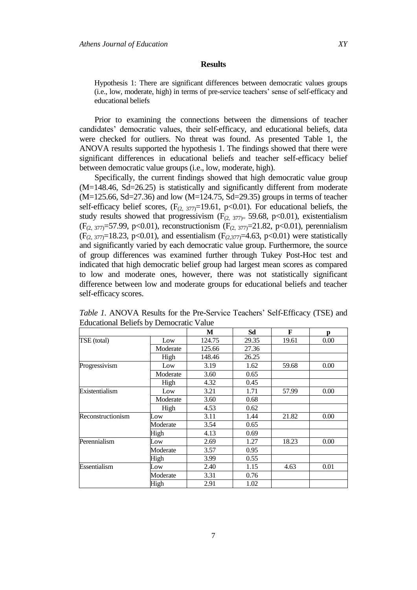#### **Results**

Hypothesis 1: There are significant differences between democratic values groups (i.e., low, moderate, high) in terms of pre-service teachers' sense of self-efficacy and educational beliefs

Prior to examining the connections between the dimensions of teacher candidates' democratic values, their self-efficacy, and educational beliefs, data were checked for outliers. No threat was found. As presented Table 1, the ANOVA results supported the hypothesis 1. The findings showed that there were significant differences in educational beliefs and teacher self-efficacy belief between democratic value groups (i.e., low, moderate, high).

Specifically, the current findings showed that high democratic value group (M=148.46, Sd=26.25) is statistically and significantly different from moderate  $(M=125.66, Sd=27.36)$  and low  $(M=124.75, Sd=29.35)$  groups in terms of teacher self-efficacy belief scores,  $(F_{(2, 377)}=19.61, p<0.01)$ . For educational beliefs, the study results showed that progressivism  $(F_{(2, 377)=} 59.68, p<0.01)$ , existentialism  $(F_{(2, 377)} = 57.99, p<0.01)$ , reconstructionism  $(F_{(2, 377)} = 21.82, p<0.01)$ , perennialism  $(F_{(2, 377)}=18.23, p<0.01)$ , and essentialism  $(F_{(2, 377)}=4.63, p<0.01)$  were statistically and significantly varied by each democratic value group. Furthermore, the source of group differences was examined further through Tukey Post-Hoc test and indicated that high democratic belief group had largest mean scores as compared to low and moderate ones, however, there was not statistically significant difference between low and moderate groups for educational beliefs and teacher self-efficacy scores.

|                   |          | M      | Sd    | F     | p    |
|-------------------|----------|--------|-------|-------|------|
| TSE (total)       | Low      | 124.75 | 29.35 | 19.61 | 0.00 |
|                   | Moderate | 125.66 | 27.36 |       |      |
|                   | High     | 148.46 | 26.25 |       |      |
| Progressivism     | Low      | 3.19   | 1.62  | 59.68 | 0.00 |
|                   | Moderate | 3.60   | 0.65  |       |      |
|                   | High     | 4.32   | 0.45  |       |      |
| Existentialism    | Low      | 3.21   | 1.71  | 57.99 | 0.00 |
|                   | Moderate | 3.60   | 0.68  |       |      |
|                   | High     | 4.53   | 0.62  |       |      |
| Reconstructionism | Low      | 3.11   | 1.44  | 21.82 | 0.00 |
|                   | Moderate | 3.54   | 0.65  |       |      |
|                   | High     | 4.13   | 0.69  |       |      |
| Perennialism      | Low      | 2.69   | 1.27  | 18.23 | 0.00 |
|                   | Moderate | 3.57   | 0.95  |       |      |
|                   | High     | 3.99   | 0.55  |       |      |
| Essentialism      | Low      | 2.40   | 1.15  | 4.63  | 0.01 |
|                   | Moderate | 3.31   | 0.76  |       |      |
|                   | High     | 2.91   | 1.02  |       |      |

*Table 1.* ANOVA Results for the Pre-Service Teachers' Self-Efficacy (TSE) and Educational Beliefs by Democratic Value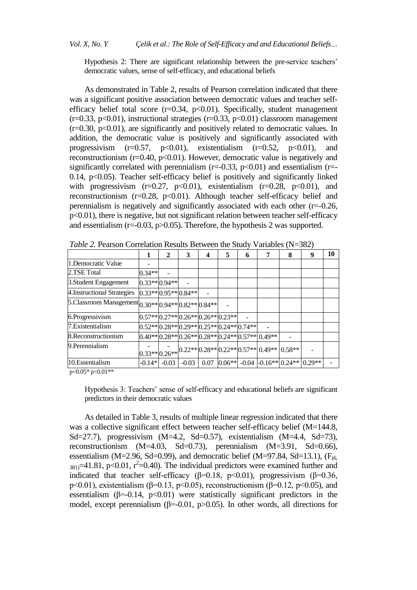Hypothesis 2: There are significant relationship between the pre-service teachers' democratic values, sense of self-efficacy, and educational beliefs

As demonstrated in Table 2, results of Pearson correlation indicated that there was a significant positive association between democratic values and teacher selfefficacy belief total score  $(r=0.34, p<0.01)$ . Specifically, student management  $(r=0.33, p<0.01)$ , instructional strategies  $(r=0.33, p<0.01)$  classroom management  $(r=0.30, p<0.01)$ , are significantly and positively related to democratic values. In addition, the democratic value is positively and significantly associated with progressivism  $(r=0.57, p<0.01)$ , existentialism  $(r=0.52, p<0.01)$ , and reconstructionism ( $r=0.40$ ,  $p<0.01$ ). However, democratic value is negatively and significantly correlated with perennialism  $(r=-0.33, p<0.01)$  and essentialism  $(r=-1.00, p<sub>0</sub>)$ 0.14,  $p<0.05$ ). Teacher self-efficacy belief is positively and significantly linked with progressivism  $(r=0.27, p<0.01)$ , existentialism  $(r=0.28, p<0.01)$ , and reconstructionism  $(r=0.28, p<0.01)$ . Although teacher self-efficacy belief and perennialism is negatively and significantly associated with each other  $(r=0.26,$ p<0.01), there is negative, but not significant relation between teacher self-efficacy and essentialism (r=-0.03, p>0.05). Therefore, the hypothesis 2 was supported.

|                                                                     |                | 2       | 3                                             | 4    | 5 | 6 |                                                                                                                        | 8 | 9 | 10 |
|---------------------------------------------------------------------|----------------|---------|-----------------------------------------------|------|---|---|------------------------------------------------------------------------------------------------------------------------|---|---|----|
| 1. Democratic Value                                                 |                |         |                                               |      |   |   |                                                                                                                        |   |   |    |
| 2.TSE Total                                                         | $0.34**$       |         |                                               |      |   |   |                                                                                                                        |   |   |    |
| 3. Student Engagement                                               | $0.33**0.94**$ |         |                                               |      |   |   |                                                                                                                        |   |   |    |
| 4. Instructional Strategies                                         |                |         | $0.33** 0.95** 0.84** $                       |      |   |   |                                                                                                                        |   |   |    |
| 5. Classroom Management $ _{0.30**} _{0.94**} _{0.82**} _{0.84**} $ |                |         |                                               |      |   |   |                                                                                                                        |   |   |    |
| 6.Progressivism                                                     |                |         | $0.57**0.27**0.26**0.26**0.23**$              |      |   |   |                                                                                                                        |   |   |    |
| 7. Existentialism                                                   |                |         | $ 0.52** 0.28** 0.29** 0.25** 0.24** 0.74** $ |      |   |   |                                                                                                                        |   |   |    |
| 8. Reconstructionism                                                |                |         |                                               |      |   |   | $0.40**0.28**0.26**0.28**0.24**0.57**0.49**$                                                                           |   |   |    |
| 9. Perennialism                                                     |                |         |                                               |      |   |   | $\left  0.33** \right  0.26**} 0.22** \left  0.28** \right  0.22** \left  0.57** \right  0.49** \left  0.58** \right $ |   |   |    |
| 10.Essentialism                                                     | $-0.14*$       | $-0.03$ | $-0.03$                                       | 0.07 |   |   | $0.06**$ -0.04 -0.16** 0.24** 0.29**                                                                                   |   |   |    |

*Table 2.* Pearson Correlation Results Between the Study Variables (N=382)

p<0.05\* p<0.01\*\*

Hypothesis 3: Teachers' sense of self-efficacy and educational beliefs are significant predictors in their democratic values

As detailed in Table 3, results of multiple linear regression indicated that there was a collective significant effect between teacher self-efficacy belief (M=144.8, Sd=27.7), progressivism  $(M=4.2, Sd=0.57)$ , existentialism  $(M=4.4, Sd=73)$ , reconstructionism (M=4.03, Sd=0.73), perennialism (M=3.91, Sd=0.66), essentialism (M=2.96, Sd=0.99), and democratic belief (M=97.84, Sd=13.1), ( $F_{(6)}$ )  $_{381}$ =41.81, p<0.01, r<sup>2</sup>=0.40). The individual predictors were examined further and indicated that teacher self-efficacy ( $\beta$ =0.18, p<0.01), progressivism ( $\beta$ =0.36, p<0.01), existentialism (β=0.13, p<0.05), reconstructionism (β=0.12, p<0.05), and essentialism ( $\beta$ =-0.14, p<0.01) were statistically significant predictors in the model, except perennialism ( $\beta$ =-0.01, p>0.05). In other words, all directions for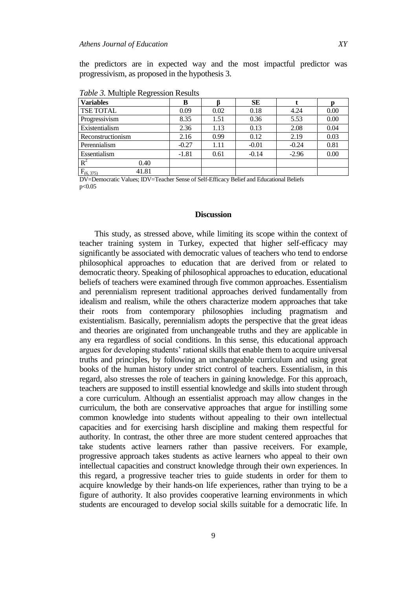the predictors are in expected way and the most impactful predictor was progressivism, as proposed in the hypothesis 3.

| <b>Variables</b>        | В       |      | <b>SE</b> |         |      |
|-------------------------|---------|------|-----------|---------|------|
| <b>TSE TOTAL</b>        | 0.09    | 0.02 | 0.18      | 4.24    | 0.00 |
| Progressivism           | 8.35    | 1.51 | 0.36      | 5.53    | 0.00 |
| Existentialism          | 2.36    | 1.13 | 0.13      | 2.08    | 0.04 |
| Reconstructionism       | 2.16    | 0.99 | 0.12      | 2.19    | 0.03 |
| Perennialism            | $-0.27$ | 1.11 | $-0.01$   | $-0.24$ | 0.81 |
| Essentialism            | $-1.81$ | 0.61 | $-0.14$   | $-2.96$ | 0.00 |
| $R^2$<br>0.40           |         |      |           |         |      |
| 41.81<br>$F_{(6, 375)}$ |         |      |           |         |      |

*Table 3.* Multiple Regression Results

DV=Democratic Values; IDV=Teacher Sense of Self-Efficacy Belief and Educational Beliefs p<0.05

#### **Discussion**

This study, as stressed above, while limiting its scope within the context of teacher training system in Turkey, expected that higher self-efficacy may significantly be associated with democratic values of teachers who tend to endorse philosophical approaches to education that are derived from or related to democratic theory. Speaking of philosophical approaches to education, educational beliefs of teachers were examined through five common approaches. Essentialism and perennialism represent traditional approaches derived fundamentally from idealism and realism, while the others characterize modern approaches that take their roots from contemporary philosophies including pragmatism and existentialism. Basically, perennialism adopts the perspective that the great ideas and theories are originated from unchangeable truths and they are applicable in any era regardless of social conditions. In this sense, this educational approach argues for developing students' rational skills that enable them to acquire universal truths and principles, by following an unchangeable curriculum and using great books of the human history under strict control of teachers. Essentialism, in this regard, also stresses the role of teachers in gaining knowledge. For this approach, teachers are supposed to instill essential knowledge and skills into student through a core curriculum. Although an essentialist approach may allow changes in the curriculum, the both are conservative approaches that argue for instilling some common knowledge into students without appealing to their own intellectual capacities and for exercising harsh discipline and making them respectful for authority. In contrast, the other three are more student centered approaches that take students active learners rather than passive receivers. For example, progressive approach takes students as active learners who appeal to their own intellectual capacities and construct knowledge through their own experiences. In this regard, a progressive teacher tries to guide students in order for them to acquire knowledge by their hands-on life experiences, rather than trying to be a figure of authority. It also provides cooperative learning environments in which students are encouraged to develop social skills suitable for a democratic life. In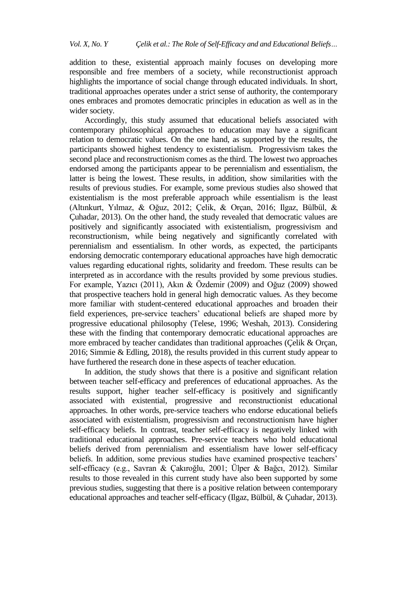addition to these, existential approach mainly focuses on developing more responsible and free members of a society, while reconstructionist approach highlights the importance of social change through educated individuals. In short, traditional approaches operates under a strict sense of authority, the contemporary ones embraces and promotes democratic principles in education as well as in the wider society.

Accordingly, this study assumed that educational beliefs associated with contemporary philosophical approaches to education may have a significant relation to democratic values. On the one hand, as supported by the results, the participants showed highest tendency to existentialism. Progressivism takes the second place and reconstructionism comes as the third. The lowest two approaches endorsed among the participants appear to be perennialism and essentialism, the latter is being the lowest. These results, in addition, show similarities with the results of previous studies. For example, some previous studies also showed that existentialism is the most preferable approach while essentialism is the least (Altınkurt, Yılmaz, & Oğuz, 2012; Çelik, & Orçan, 2016; Ilgaz, Bülbül, & Çuhadar, 2013). On the other hand, the study revealed that democratic values are positively and significantly associated with existentialism, progressivism and reconstructionism, while being negatively and significantly correlated with perennialism and essentialism. In other words, as expected, the participants endorsing democratic contemporary educational approaches have high democratic values regarding educational rights, solidarity and freedom. These results can be interpreted as in accordance with the results provided by some previous studies. For example, Yazıcı (2011), Akın & Özdemir (2009) and Oğuz (2009) showed that prospective teachers hold in general high democratic values. As they become more familiar with student-centered educational approaches and broaden their field experiences, pre-service teachers' educational beliefs are shaped more by progressive educational philosophy (Telese, 1996; Weshah, 2013). Considering these with the finding that contemporary democratic educational approaches are more embraced by teacher candidates than traditional approaches (Çelik & Orçan, 2016; Simmie & Edling, 2018), the results provided in this current study appear to have furthered the research done in these aspects of teacher education.

In addition, the study shows that there is a positive and significant relation between teacher self-efficacy and preferences of educational approaches. As the results support, higher teacher self-efficacy is positively and significantly associated with existential, progressive and reconstructionist educational approaches. In other words, pre-service teachers who endorse educational beliefs associated with existentialism, progressivism and reconstructionism have higher self-efficacy beliefs. In contrast, teacher self-efficacy is negatively linked with traditional educational approaches. Pre-service teachers who hold educational beliefs derived from perennialism and essentialism have lower self-efficacy beliefs. In addition, some previous studies have examined prospective teachers' self-efficacy (e.g., Savran & Çakıroğlu, 2001; Ülper & Bağcı, 2012). Similar results to those revealed in this current study have also been supported by some previous studies, suggesting that there is a positive relation between contemporary educational approaches and teacher self-efficacy (Ilgaz, Bülbül, & Çuhadar, 2013).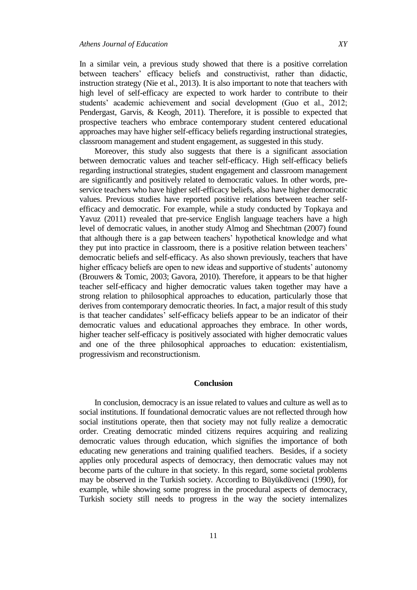In a similar vein, a previous study showed that there is a positive correlation between teachers' efficacy beliefs and constructivist, rather than didactic, instruction strategy (Nie et al., 2013). It is also important to note that teachers with high level of self-efficacy are expected to work harder to contribute to their students' academic achievement and social development (Guo et al., 2012; Pendergast, Garvis, & Keogh, 2011). Therefore, it is possible to expected that prospective teachers who embrace contemporary student centered educational approaches may have higher self-efficacy beliefs regarding instructional strategies, classroom management and student engagement, as suggested in this study.

Moreover, this study also suggests that there is a significant association between democratic values and teacher self-efficacy. High self-efficacy beliefs regarding instructional strategies, student engagement and classroom management are significantly and positively related to democratic values. In other words, preservice teachers who have higher self-efficacy beliefs, also have higher democratic values. Previous studies have reported positive relations between teacher selfefficacy and democratic. For example, while a study conducted by Topkaya and Yavuz (2011) revealed that pre-service English language teachers have a high level of democratic values, in another study Almog and Shechtman (2007) found that although there is a gap between teachers' hypothetical knowledge and what they put into practice in classroom, there is a positive relation between teachers' democratic beliefs and self-efficacy. As also shown previously, teachers that have higher efficacy beliefs are open to new ideas and supportive of students' autonomy (Brouwers & Tomic, 2003; Gavora, 2010). Therefore, it appears to be that higher teacher self-efficacy and higher democratic values taken together may have a strong relation to philosophical approaches to education, particularly those that derives from contemporary democratic theories. In fact, a major result of this study is that teacher candidates' self-efficacy beliefs appear to be an indicator of their democratic values and educational approaches they embrace. In other words, higher teacher self-efficacy is positively associated with higher democratic values and one of the three philosophical approaches to education: existentialism, progressivism and reconstructionism.

#### **Conclusion**

In conclusion, democracy is an issue related to values and culture as well as to social institutions. If foundational democratic values are not reflected through how social institutions operate, then that society may not fully realize a democratic order. Creating democratic minded citizens requires acquiring and realizing democratic values through education, which signifies the importance of both educating new generations and training qualified teachers. Besides, if a society applies only procedural aspects of democracy, then democratic values may not become parts of the culture in that society. In this regard, some societal problems may be observed in the Turkish society. According to Büyükdüvenci (1990), for example, while showing some progress in the procedural aspects of democracy, Turkish society still needs to progress in the way the society internalizes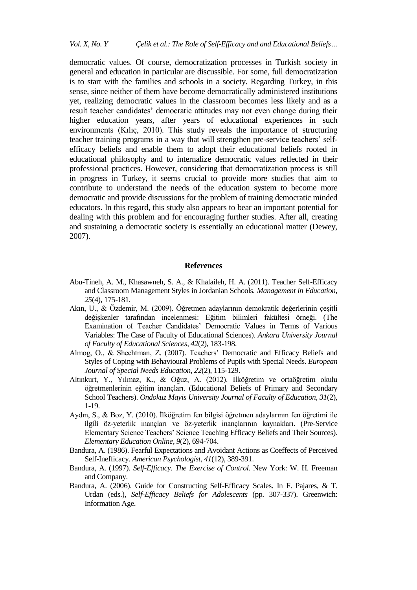democratic values. Of course, democratization processes in Turkish society in general and education in particular are discussible. For some, full democratization is to start with the families and schools in a society. Regarding Turkey, in this sense, since neither of them have become democratically administered institutions yet, realizing democratic values in the classroom becomes less likely and as a result teacher candidates' democratic attitudes may not even change during their higher education years, after years of educational experiences in such environments (Kılıç, 2010). This study reveals the importance of structuring teacher training programs in a way that will strengthen pre-service teachers' selfefficacy beliefs and enable them to adopt their educational beliefs rooted in educational philosophy and to internalize democratic values reflected in their professional practices. However, considering that democratization process is still in progress in Turkey, it seems crucial to provide more studies that aim to contribute to understand the needs of the education system to become more democratic and provide discussions for the problem of training democratic minded educators. In this regard, this study also appears to bear an important potential for dealing with this problem and for encouraging further studies. After all, creating and sustaining a democratic society is essentially an educational matter (Dewey, 2007).

## **References**

- Abu-Tineh, A. M., Khasawneh, S. A., & Khalaileh, H. A. (2011). Teacher Self-Efficacy and Classroom Management Styles in Jordanian Schools*. Management in Education, 25*(4), 175-181.
- Akın, U., & Özdemir, M. (2009). Öğretmen adaylarının demokratik değerlerinin çeşitli değişkenler tarafından incelenmesi: Eğitim bilimleri fakültesi örneği. (The Examination of Teacher Candidates' Democratic Values in Terms of Various Variables: The Case of Faculty of Educational Sciences). *Ankara University Journal of Faculty of Educational Sciences, 42*(2), 183-198.
- Almog, O., & Shechtman, Z. (2007). Teachers' Democratic and Efficacy Beliefs and Styles of Coping with Behavioural Problems of Pupils with Special Needs. *European Journal of Special Needs Education, 22*(2), 115-129.
- Altınkurt, Y., Yılmaz, K., & Oğuz, A. (2012). İlköğretim ve ortaöğretim okulu öğretmenlerinin eğitim inançları. (Educational Beliefs of Primary and Secondary School Teachers). *Ondokuz Mayis University Journal of Faculty of Education, 31*(2), 1-19.
- Aydın, S., & Boz, Y. (2010). İlköğretim fen bilgisi öğretmen adaylarının fen öğretimi ile ilgili öz-yeterlik inançları ve öz-yeterlik inançlarının kaynakları. (Pre-Service Elementary Science Teachers' Science Teaching Efficacy Beliefs and Their Sources)*. Elementary Education Online, 9*(2), 694-704.
- Bandura, A. (1986). Fearful Expectations and Avoidant Actions as Coeffects of Perceived Self-Inefficacy. *American Psychologist, 41*(12), 389-391.
- Bandura, A. (1997). *Self-Efficacy. The Exercise of Control*. New York: W. H. Freeman and Company.
- Bandura, A. (2006). Guide for Constructing Self-Efficacy Scales. In F. Pajares, & T. Urdan (eds.), *Self-Efficacy Beliefs for Adolescents* (pp. 307-337). Greenwich: Information Age.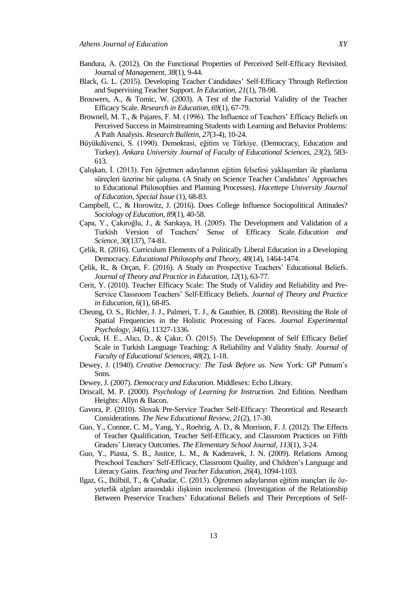- Bandura, A. (2012). On the Functional Properties of Perceived Self-Efficacy Revisited. Journal *of Management, 38*(1), 9-44.
- Black, G. L. (2015). Developing Teacher Candidates' Self-Efficacy Through Reflection and Supervising Teacher Support. *In Education, 21*(1), 78-98.
- Brouwers, A., & Tomic, W. (2003). A Test of the Factorial Validity of the Teacher Efficacy Scale. *Research in Education, 69*(1), 67-79.
- Brownell, M. T., & Pajares, F. M. (1996). The Influence of Teachers' Efficacy Beliefs on Perceived Success in Mainstreaming Students with Learning and Behavior Problems: A Path Analysis. *Research Bulletin, 27*(3-4), 10-24.
- Büyükdüvenci, S. (1990). Demokrasi, eğitim ve Türkiye. (Democracy, Education and Turkey). *Ankara University Journal of Faculty of Educational Sciences, 23*(2), 583- 613.
- Çalışkan, İ. (2013). Fen öğretmen adaylarının eğitim felsefesi yaklaşımları ile planlama süreçleri üzerine bir çalışma. (A Study on Science Teacher Candidates' Approaches to Educational Philosophies and Planning Processes). *Hacettepe University Journal of Education, Special Issue* (1), 68-83.
- Campbell, C., & Horowitz, J. (2016). Does College Influence Sociopolitical Attitudes? *Sociology of Education, 89*(1), 40-58.
- Çapa, Y., Çakıroğlu, J., & Sarıkaya, H. (2005). The Development and Validation of a Turkish Version of Teachers' Sense of Efficacy Scale*. Education and Science, 30*(137), 74-81.
- Çelik, R. (2016). Curriculum Elements of a Politically Liberal Education in a Developing Democracy. *Educational Philosophy and Theory, 48*(14), 1464-1474.
- Çelik, R., & Orçan, F. (2016). A Study on Prospective Teachers' Educational Beliefs. *Journal of Theory and Practice in Education, 12*(1), 63-77.
- Cerit, Y. (2010). Teacher Efficacy Scale: The Study of Validity and Reliability and Pre-Service Classroom Teachers' Self-Efficacy Beliefs. *Journal of Theory and Practice in Education, 6*(1), 68-85.
- Cheung, O. S., Richler, J. J., Palmeri, T. J., & Gauthier, B. (2008). Revisiting the Role of Spatial Frequencies in the Holistic Processing of Faces. *Journal Experimental Psychology, 34*(6), 11327-1336.
- Çocuk, H. E., Alıcı, D., & Çakır, Ö. (2015). The Development of Self Efficacy Belief Scale in Turkish Language Teaching: A Reliability and Validity Study*. Journal of Faculty of Educational Sciences, 48*(2), 1-18.
- Dewey, J. (1940). *Creative Democracy: The Task Before us*. New York: GP Putnam's Sons.
- Dewey, J. (2007). *Democracy and Education*. Middlesex: Echo Library.
- Driscall, M. P. (2000). *Psychology of Learning for Instruction*. 2nd Edition. Needham Heights: Allyn & Bacon.
- Gavora, P. (2010). Slovak Pre-Service Teacher Self-Efficacy: Theoretical and Research Considerations. *The New Educational Review, 21*(2), 17-30.
- Guo, Y., Connor, C. M., Yang, Y., Roehrig, A. D., & Morrison, F. J. (2012). The Effects of Teacher Qualification, Teacher Self-Efficacy, and Classroom Practices on Fifth Graders' Literacy Outcomes. *The Elementary School Journal, 113*(1), 3-24.
- Guo, Y., Piasta, S. B., Justice, L. M., & Kaderavek, J. N. (2009). Relations Among Preschool Teachers' Self-Efficacy, Classroom Quality, and Children's Language and Literacy Gains. *Teaching and Teacher Education, 26*(4), 1094-1103.
- Ilgaz, G., Bülbül, T., & Çuhadar, C. (2013). Öğretmen adaylarının eğitim inançları ile özyeterlik algıları arasındaki ilişkinin incelenmesi. (Investigation of the Relationship Between Preservice Teachers' Educational Beliefs and Their Perceptions of Self-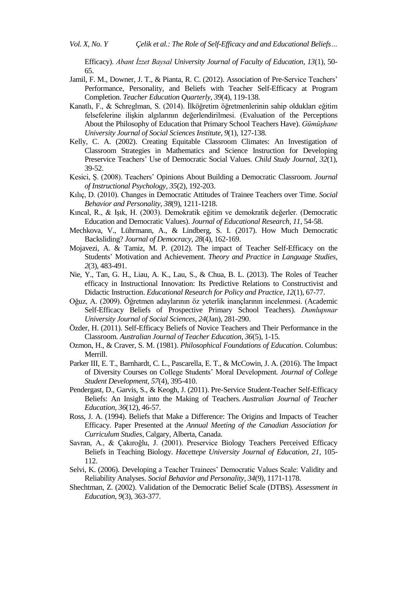Efficacy). *Abant İzzet Baysal University Journal of Faculty of Education, 13*(1), 50- 65.

- Jamil, F. M., Downer, J. T., & Pianta, R. C. (2012). Association of Pre-Service Teachers' Performance, Personality, and Beliefs with Teacher Self-Efficacy at Program Completion. *Teacher Education Quarterly, 39*(4), 119-138.
- Kanatlı, F., & Schreglman, S. (2014). İlköğretim öğretmenlerinin sahip oldukları eğitim felsefelerine ilişkin algılarının değerlendirilmesi. (Evaluation of the Perceptions About the Philosophy of Education that Primary School Teachers Have). *Gümüşhane University Journal of Social Sciences Institute, 9*(1), 127-138.
- Kelly, C. A. (2002). Creating Equitable Classroom Climates: An Investigation of Classroom Strategies in Mathematics and Science Instruction for Developing Preservice Teachers' Use of Democratic Social Values. *Child Study Journal, 32*(1), 39-52.
- Kesici, Ş. (2008). Teachers' Opinions About Building a Democratic Classroom. *Journal of Instructional Psychology, 35*(2), 192-203.
- Kılıç, D. (2010). Changes in Democratic Attitudes of Trainee Teachers over Time. *Social Behavior and Personality*, *38*(9), 1211-1218.
- Kıncal, R., & Işık, H. (2003). Demokratik eğitim ve demokratik değerler. (Democratic Education and Democratic Values). *Journal of Educational Research, 11,* 54-58.
- Mechkova, V., Lührmann, A., & Lindberg, S. I. (2017). How Much Democratic Backsliding? *Journal of Democracy, 28*(4), 162-169.
- Mojavezi, A. & Tamiz, M. P. (2012). The impact of Teacher Self-Efficacy on the Students' Motivation and Achievement. *Theory and Practice in Language Studies, 2*(3), 483-491.
- Nie, Y., Tan, G. H., Liau, A. K., Lau, S., & Chua, B. L. (2013). The Roles of Teacher efficacy in Instructional Innovation: Its Predictive Relations to Constructivist and Didactic Instruction. *Educational Research for Policy and Practice, 12*(1), 67-77.
- Oğuz, A. (2009). Öğretmen adaylarının öz yeterlik inançlarının incelenmesi. (Academic Self-Efficacy Beliefs of Prospective Primary School Teachers). *Dumlupınar University Journal of Social Sciences, 24*(Jan), 281-290.
- Özder, H. (2011). Self-Efficacy Beliefs of Novice Teachers and Their Performance in the Classroom. *Australian Journal of Teacher Education, 36*(5), 1-15.
- Ozmon, H., & Craver, S. M. (1981). *Philosophical Foundations of Education*. Columbus: Merrill.
- Parker III, E. T., Barnhardt, C. L., Pascarella, E. T., & McCowin, J. A. (2016). The Impact of Diversity Courses on College Students' Moral Development*. Journal of College Student Development, 57*(4), 395-410.
- Pendergast, D., Garvis, S., & Keogh, J. (2011). Pre-Service Student-Teacher Self-Efficacy Beliefs: An Insight into the Making of Teachers. *Australian Journal of Teacher Education, 36*(12), 46-57.
- Ross, J. A. (1994). Beliefs that Make a Difference: The Origins and Impacts of Teacher Efficacy. Paper Presented at the *Annual Meeting of the Canadian Association for Curriculum Studies*, Calgary, Alberta, Canada.
- Savran, A., & Çakıroğlu, J. (2001). Preservice Biology Teachers Perceived Efficacy Beliefs in Teaching Biology. *Hacettepe University Journal of Education, 21*, 105- 112.
- Selvi, K. (2006). Developing a Teacher Trainees' Democratic Values Scale: Validity and Reliability Analyses. *Social Behavior and Personality, 34*(9), 1171-1178.
- Shechtman, Z. (2002). Validation of the Democratic Belief Scale (DTBS). *Assessment in Education, 9*(3), 363-377.